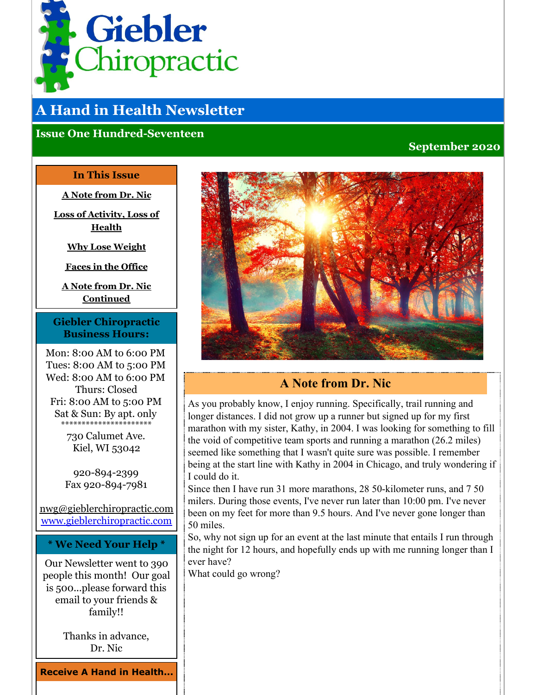<span id="page-0-0"></span>

# **A Hand in Health Newsletter**

#### **Issue One Hundred-Seventeen**

#### **September 2020**

#### **In This Issue**

**A Note [from](#page-0-0) Dr. Nic**

**Loss of [Activity,](#page-0-0) Loss of Health**

**Why Lose [Weight](#page-0-0)**

**Faces in the [Office](#page-0-0)**

**A Note from Dr. Nic [Continued](#page-0-0)**

#### **Giebler Chiropractic Business Hours:**

Mon: 8:00 AM to 6:00 PM Tues: 8:00 AM to 5:00 PM Wed: 8:00 AM to 6:00 PM Thurs: Closed Fri: 8:00 AM to 5:00 PM Sat & Sun: By apt. only \*\*\*\*\*\*\*\*\*\*\*\*\*\*\*

> 730 Calumet Ave. Kiel, WI 53042

920-894-2399 Fax 920-894-7981

nwg@gieblerchiropractic.com [www.gieblerchiropractic.com](http://www.gieblerchiropractic.com)

**\* We Need Your Help \***

Our Newsletter went to 390 people this month! Our goal is 500...please forward this email to your friends & family!!

> Thanks in advance, Dr. Nic

**Receive A Hand in Health...**



## **A Note from Dr. Nic**

As you probably know, I enjoy running. Specifically, trail running and longer distances. I did not grow up a runner but signed up for my first marathon with my sister, Kathy, in 2004. I was looking for something to fill the void of competitive team sports and running a marathon (26.2 miles) seemed like something that I wasn't quite sure was possible. I remember being at the start line with Kathy in 2004 in Chicago, and truly wondering if I could do it.

Since then I have run 31 more marathons, 28 50-kilometer runs, and 7 50 milers. During those events, I've never run later than 10:00 pm. I've never been on my feet for more than 9.5 hours. And I've never gone longer than 50 miles.

So, why not sign up for an event at the last minute that entails I run through the night for 12 hours, and hopefully ends up with me running longer than I ever have?

What could go wrong?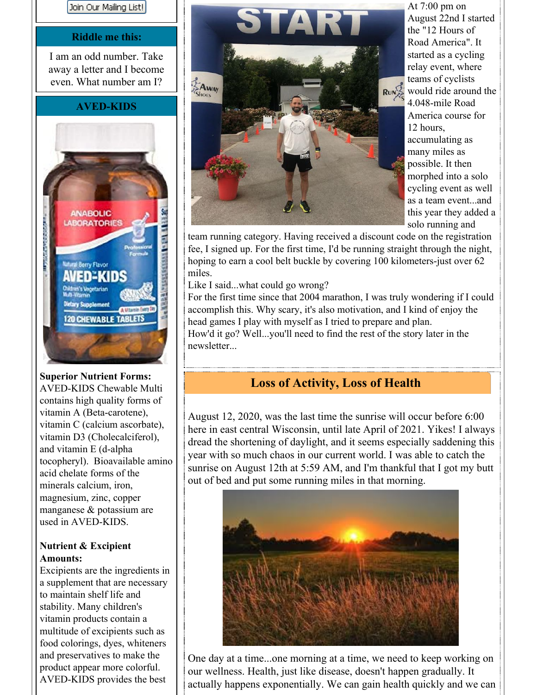

#### **Riddle me this:**

I am an odd number. Take away a letter and I become even. What number am I?

#### **AVED-KIDS**



**Superior Nutrient Forms:** AVED-KIDS Chewable Multi contains high quality forms of vitamin A (Beta-carotene), vitamin C (calcium ascorbate), vitamin D3 (Cholecalciferol), and vitamin E (d-alpha tocopheryl). Bioavailable amino acid chelate forms of the minerals calcium, iron, magnesium, zinc, copper manganese & potassium are used in AVED-KIDS.

#### **Nutrient & Excipient Amounts:**

Excipients are the ingredients in a supplement that are necessary to maintain shelf life and stability. Many children's vitamin products contain a multitude of excipients such as food colorings, dyes, whiteners and preservatives to make the product appear more colorful. AVED-KIDS provides the best



At 7:00 pm on August 22nd I started the "12 Hours of Road America". It started as a cycling relay event, where teams of cyclists would ride around the 4.048-mile Road America course for 12 hours, accumulating as many miles as possible. It then morphed into a solo cycling event as well as a team event...and this year they added a solo running and

team running category. Having received a discount code on the registration fee, I signed up. For the first time, I'd be running straight through the night, hoping to earn a cool belt buckle by covering 100 kilometers-just over 62 miles.

Like I said...what could go wrong?

For the first time since that 2004 marathon, I was truly wondering if I could accomplish this. Why scary, it's also motivation, and I kind of enjoy the head games I play with myself as I tried to prepare and plan. How'd it go? Well...you'll need to find the rest of the story later in the newsletter...

## **Loss of Activity, Loss of Health**

August 12, 2020, was the last time the sunrise will occur before 6:00 here in east central Wisconsin, until late April of 2021. Yikes! I always dread the shortening of daylight, and it seems especially saddening this year with so much chaos in our current world. I was able to catch the sunrise on August 12th at 5:59 AM, and I'm thankful that I got my butt out of bed and put some running miles in that morning.



One day at a time...one morning at a time, we need to keep working on our wellness. Health, just like disease, doesn't happen gradually. It actually happens exponentially. We can gain health quickly and we can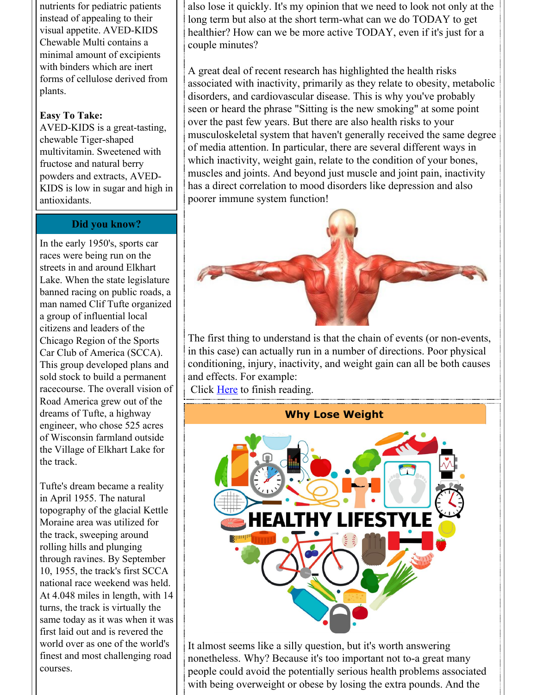nutrients for pediatric patients instead of appealing to their visual appetite. AVED-KIDS Chewable Multi contains a minimal amount of excipients with binders which are inert forms of cellulose derived from plants.

#### **Easy To Take:**

AVED-KIDS is a great-tasting, chewable Tiger-shaped multivitamin. Sweetened with fructose and natural berry powders and extracts, AVED-KIDS is low in sugar and high in antioxidants.

#### **Did you know?**

In the early 1950's, sports car races were being run on the streets in and around Elkhart Lake. When the state legislature banned racing on public roads, a man named Clif Tufte organized a group of influential local citizens and leaders of the Chicago Region of the Sports Car Club of America (SCCA). This group developed plans and sold stock to build a permanent racecourse. The overall vision of Road America grew out of the dreams of Tufte, a highway engineer, who chose 525 acres of Wisconsin farmland outside the Village of Elkhart Lake for the track.

Tufte's dream became a reality in April 1955. The natural topography of the glacial Kettle Moraine area was utilized for the track, sweeping around rolling hills and plunging through ravines. By September 10, 1955, the track's first SCCA national race weekend was held. At 4.048 miles in length, with 14 turns, the track is virtually the same today as it was when it was first laid out and is revered the world over as one of the world's finest and most challenging road courses.

also lose it quickly. It's my opinion that we need to look not only at the long term but also at the short term-what can we do TODAY to get healthier? How can we be more active TODAY, even if it's just for a couple minutes?

A great deal of recent research has highlighted the health risks associated with inactivity, primarily as they relate to obesity, metabolic disorders, and cardiovascular disease. This is why you've probably seen or heard the phrase "Sitting is the new smoking" at some point over the past few years. But there are also health risks to your musculoskeletal system that haven't generally received the same degree of media attention. In particular, there are several different ways in which inactivity, weight gain, relate to the condition of your bones, muscles and joints. And beyond just muscle and joint pain, inactivity has a direct correlation to mood disorders like depression and also poorer immune system function!



The first thing to understand is that the chain of events (or non-events, in this case) can actually run in a number of directions. Poor physical conditioning, injury, inactivity, and weight gain can all be both causes and effects. For example:

Click [Here](https://gieblerchiropractic.blogspot.com/2020/08/loss-of-activity-loss-of-health.html) to finish reading.

#### **Why Lose Weight**



It almost seems like a silly question, but it's worth answering nonetheless. Why? Because it's too important not to-a great many people could avoid the potentially serious health problems associated with being overweight or obese by losing the extra pounds. And the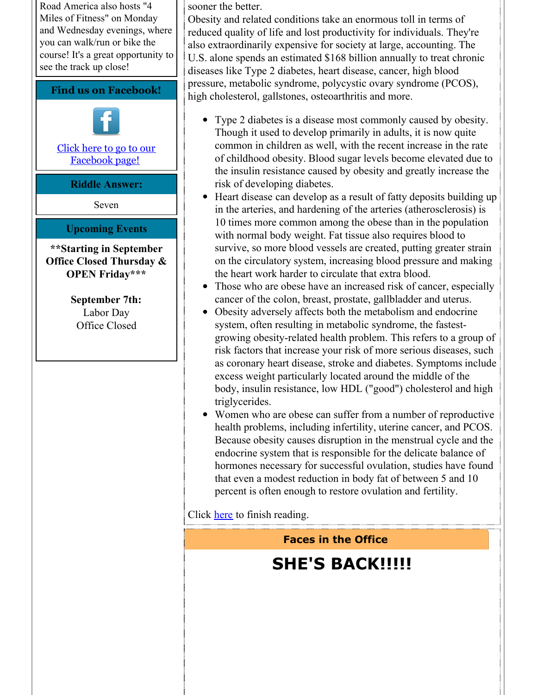Road America also hosts "4 Miles of Fitness" on Monday and Wednesday evenings, where you can walk/run or bike the course! It's a great opportunity to see the track up close!

#### **Find us on Facebook!**



Click here to go to our [Facebook](http://www.facebook.com/pages/Giebler-Chiropractic/218099108202339) page!

#### **Riddle Answer:**

Seven

#### **Upcoming Events**

#### **\*\*Starting in September Office Closed Thursday & OPEN Friday\*\*\***

**September 7th:** Labor Day Office Closed

sooner the better.

Obesity and related conditions take an enormous toll in terms of reduced quality of life and lost productivity for individuals. They're also extraordinarily expensive for society at large, accounting. The U.S. alone spends an estimated \$168 billion annually to treat chronic diseases like Type 2 diabetes, heart disease, cancer, high blood pressure, metabolic syndrome, polycystic ovary syndrome (PCOS), high cholesterol, gallstones, osteoarthritis and more.

- Type 2 diabetes is a disease most commonly caused by obesity. Though it used to develop primarily in adults, it is now quite common in children as well, with the recent increase in the rate of childhood obesity. Blood sugar levels become elevated due to the insulin resistance caused by obesity and greatly increase the risk of developing diabetes.
- Heart disease can develop as a result of fatty deposits building up in the arteries, and hardening of the arteries (atherosclerosis) is 10 times more common among the obese than in the population with normal body weight. Fat tissue also requires blood to survive, so more blood vessels are created, putting greater strain on the circulatory system, increasing blood pressure and making the heart work harder to circulate that extra blood.
- Those who are obese have an increased risk of cancer, especially cancer of the colon, breast, prostate, gallbladder and uterus.
- Obesity adversely affects both the metabolism and endocrine system, often resulting in metabolic syndrome, the fastestgrowing obesity-related health problem. This refers to a group of risk factors that increase your risk of more serious diseases, such as coronary heart disease, stroke and diabetes. Symptoms include excess weight particularly located around the middle of the body, insulin resistance, low HDL ("good") cholesterol and high triglycerides.
- Women who are obese can suffer from a number of reproductive health problems, including infertility, uterine cancer, and PCOS. Because obesity causes disruption in the menstrual cycle and the endocrine system that is responsible for the delicate balance of hormones necessary for successful ovulation, studies have found that even a modest reduction in body fat of between 5 and 10 percent is often enough to restore ovulation and fertility.

Click [here](https://gieblerchiropractic.blogspot.com/2020/08/why-lose-weight.html) to finish reading.

## **Faces in the Office**

# **SHE'S BACK!!!!!**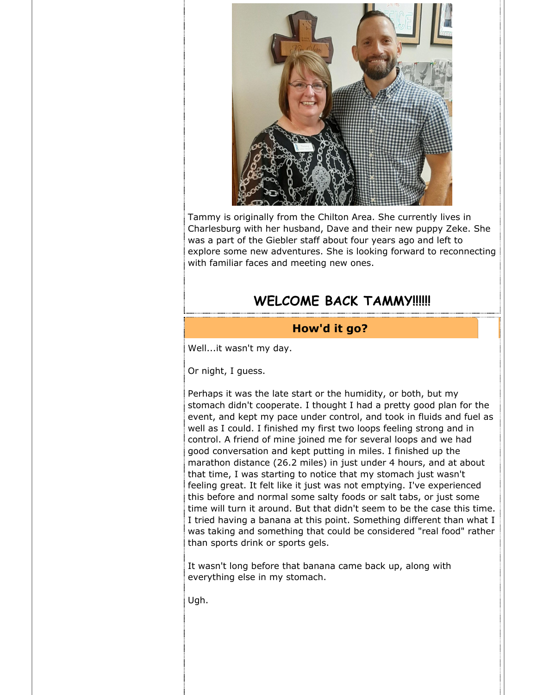

Tammy is originally from the Chilton Area. She currently lives in Charlesburg with her husband, Dave and their new puppy Zeke. She was a part of the Giebler staff about four years ago and left to explore some new adventures. She is looking forward to reconnecting with familiar faces and meeting new ones.

## **WELCOME BACK TAMMY!!!!!!**

#### **How'd it go?**

Well...it wasn't my day.

Or night, I guess.

Perhaps it was the late start or the humidity, or both, but my stomach didn't cooperate. I thought I had a pretty good plan for the event, and kept my pace under control, and took in fluids and fuel as well as I could. I finished my first two loops feeling strong and in control. A friend of mine joined me for several loops and we had good conversation and kept putting in miles. I finished up the marathon distance (26.2 miles) in just under 4 hours, and at about that time, I was starting to notice that my stomach just wasn't feeling great. It felt like it just was not emptying. I've experienced this before and normal some salty foods or salt tabs, or just some time will turn it around. But that didn't seem to be the case this time. I tried having a banana at this point. Something different than what I was taking and something that could be considered "real food" rather than sports drink or sports gels.

It wasn't long before that banana came back up, along with everything else in my stomach.

Ugh.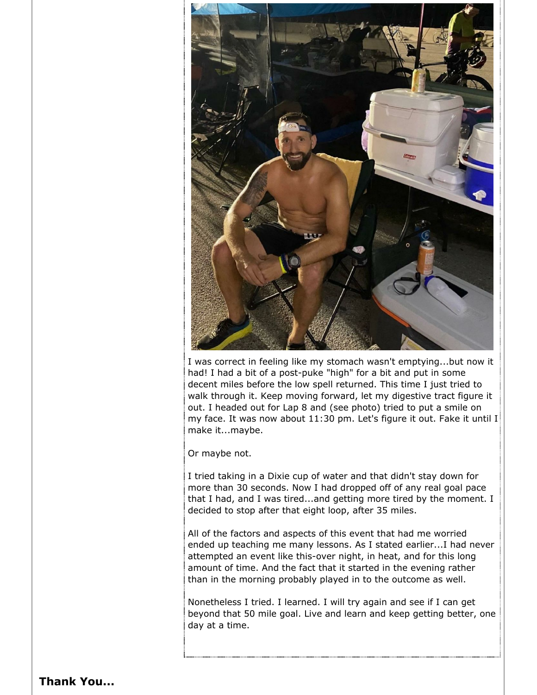

I was correct in feeling like my stomach wasn't emptying...but now it had! I had a bit of a post-puke "high" for a bit and put in some decent miles before the low spell returned. This time I just tried to walk through it. Keep moving forward, let my digestive tract figure it out. I headed out for Lap 8 and (see photo) tried to put a smile on my face. It was now about 11:30 pm. Let's figure it out. Fake it until I make it...maybe.

Or maybe not.

I tried taking in a Dixie cup of water and that didn't stay down for more than 30 seconds. Now I had dropped off of any real goal pace that I had, and I was tired...and getting more tired by the moment. I decided to stop after that eight loop, after 35 miles.

All of the factors and aspects of this event that had me worried ended up teaching me many lessons. As I stated earlier...I had never attempted an event like this-over night, in heat, and for this long amount of time. And the fact that it started in the evening rather than in the morning probably played in to the outcome as well.

Nonetheless I tried. I learned. I will try again and see if I can get beyond that 50 mile goal. Live and learn and keep getting better, one day at a time.

#### **Thank You...**